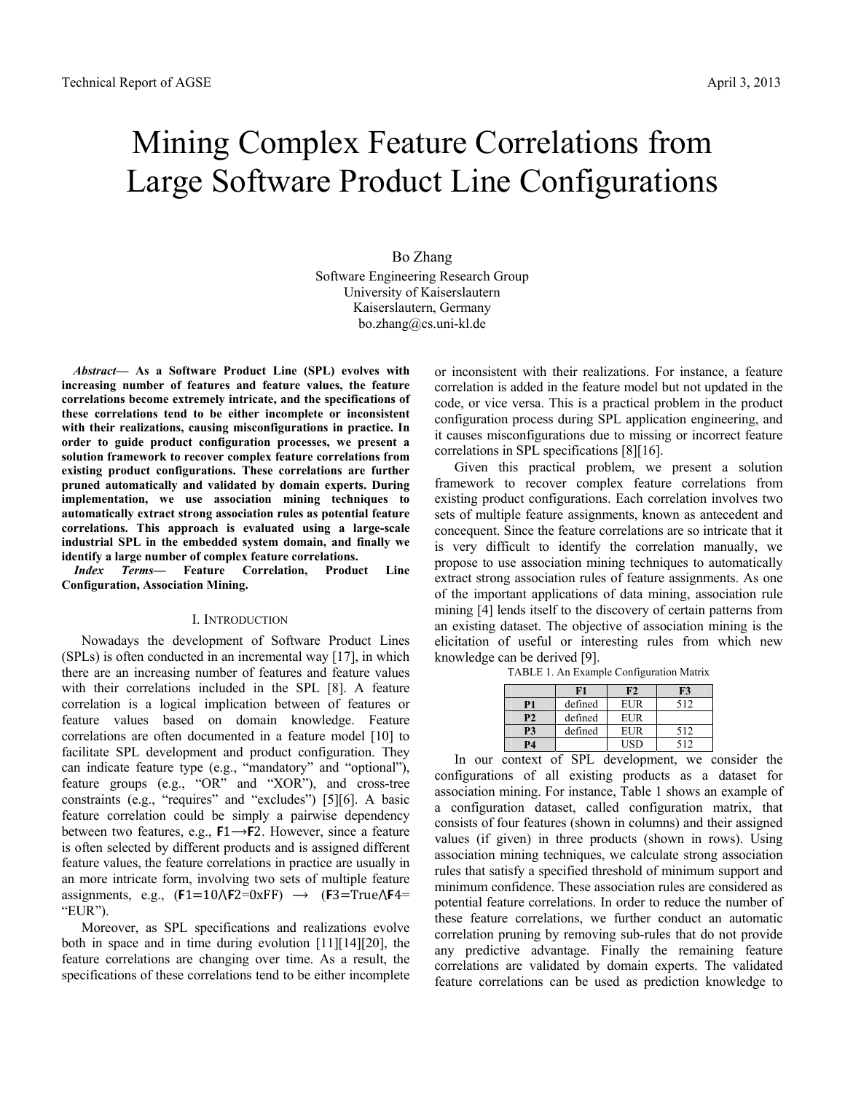# Mining Complex Feature Correlations from Large Software Product Line Configurations

# Bo Zhang Software Engineering Research Group University of Kaiserslautern Kaiserslautern, Germany bo.zhang@cs.uni-kl.de

*Abstract***— As a Software Product Line (SPL) evolves with increasing number of features and feature values, the feature correlations become extremely intricate, and the specifications of these correlations tend to be either incomplete or inconsistent with their realizations, causing misconfigurations in practice. In order to guide product configuration processes, we present a solution framework to recover complex feature correlations from existing product configurations. These correlations are further pruned automatically and validated by domain experts. During implementation, we use association mining techniques to automatically extract strong association rules as potential feature correlations. This approach is evaluated using a large-scale industrial SPL in the embedded system domain, and finally we identify a large number of complex feature correlations.** 

*Index Terms***— Feature Correlation, Product Line Configuration, Association Mining.** 

#### I. INTRODUCTION

Nowadays the development of Software Product Lines (SPLs) is often conducted in an incremental way [17], in which there are an increasing number of features and feature values with their correlations included in the SPL [8]. A feature correlation is a logical implication between of features or feature values based on domain knowledge. Feature correlations are often documented in a feature model [10] to facilitate SPL development and product configuration. They can indicate feature type (e.g., "mandatory" and "optional"), feature groups (e.g., "OR" and "XOR"), and cross-tree constraints (e.g., "requires" and "excludes") [5][6]. A basic feature correlation could be simply a pairwise dependency between two features, e.g.,  $F1 \rightarrow F2$ . However, since a feature is often selected by different products and is assigned different feature values, the feature correlations in practice are usually in an more intricate form, involving two sets of multiple feature assignments, e.g.,  $(F1=10\text{/}F2=0xFF)$   $\rightarrow$   $(F3=True\text{/}F4=$ "EUR").

Moreover, as SPL specifications and realizations evolve both in space and in time during evolution [11][14][20], the feature correlations are changing over time. As a result, the specifications of these correlations tend to be either incomplete or inconsistent with their realizations. For instance, a feature correlation is added in the feature model but not updated in the code, or vice versa. This is a practical problem in the product configuration process during SPL application engineering, and it causes misconfigurations due to missing or incorrect feature correlations in SPL specifications [8][16].

Given this practical problem, we present a solution framework to recover complex feature correlations from existing product configurations. Each correlation involves two sets of multiple feature assignments, known as antecedent and concequent. Since the feature correlations are so intricate that it is very difficult to identify the correlation manually, we propose to use association mining techniques to automatically extract strong association rules of feature assignments. As one of the important applications of data mining, association rule mining [4] lends itself to the discovery of certain patterns from an existing dataset. The objective of association mining is the elicitation of useful or interesting rules from which new knowledge can be derived [9].

|    | F1      | F2           | F3  |
|----|---------|--------------|-----|
| P1 | defined | <b>EUR</b>   | 512 |
| P2 | defined | <b>EUR</b>   |     |
| Р3 | defined | <b>EI IR</b> | 512 |

TABLE 1. An Example Configuration Matrix

**P4 USD** 512 In our context of SPL development, we consider the configurations of all existing products as a dataset for association mining. For instance, Table 1 shows an example of a configuration dataset, called configuration matrix, that consists of four features (shown in columns) and their assigned values (if given) in three products (shown in rows). Using association mining techniques, we calculate strong association rules that satisfy a specified threshold of minimum support and minimum confidence. These association rules are considered as potential feature correlations. In order to reduce the number of these feature correlations, we further conduct an automatic correlation pruning by removing sub-rules that do not provide any predictive advantage. Finally the remaining feature correlations are validated by domain experts. The validated feature correlations can be used as prediction knowledge to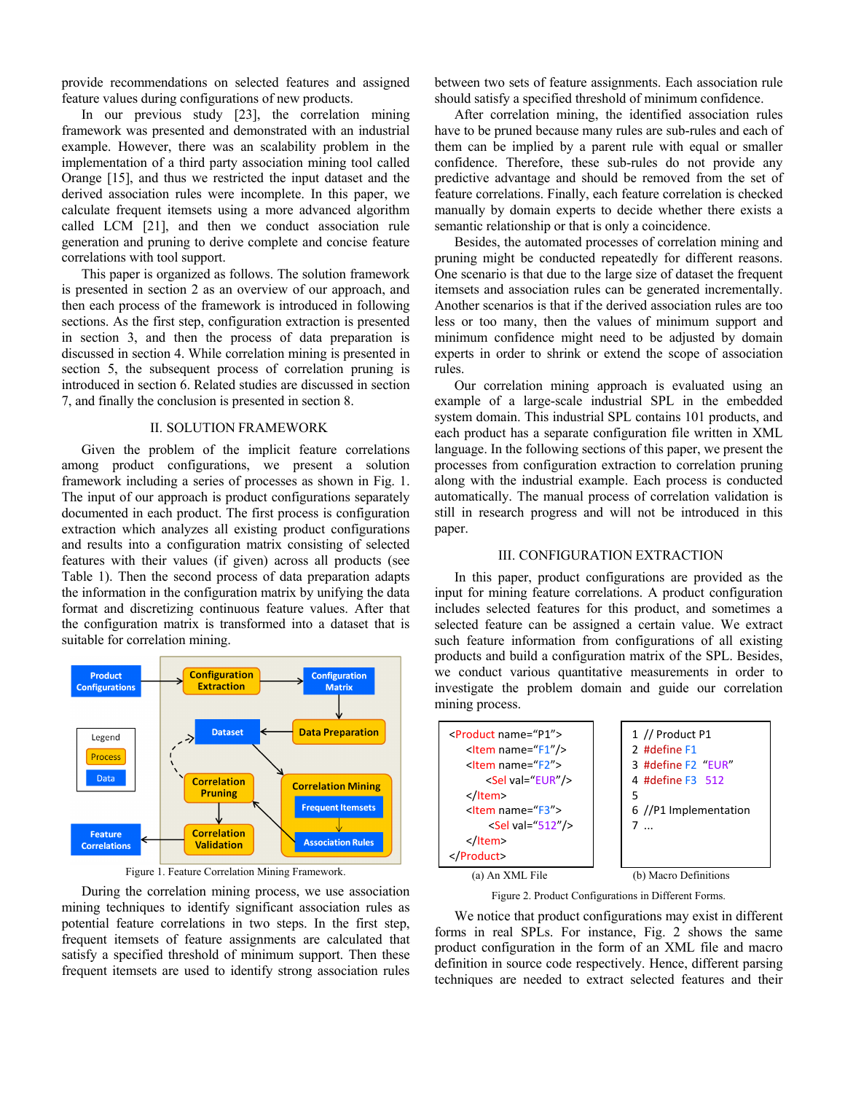provide recommendations on selected features and assigned feature values during configurations of new products.

In our previous study [23], the correlation mining framework was presented and demonstrated with an industrial example. However, there was an scalability problem in the implementation of a third party association mining tool called Orange [15], and thus we restricted the input dataset and the derived association rules were incomplete. In this paper, we calculate frequent itemsets using a more advanced algorithm called LCM [21], and then we conduct association rule generation and pruning to derive complete and concise feature correlations with tool support.

This paper is organized as follows. The solution framework is presented in section 2 as an overview of our approach, and then each process of the framework is introduced in following sections. As the first step, configuration extraction is presented in section 3, and then the process of data preparation is discussed in section 4. While correlation mining is presented in section 5, the subsequent process of correlation pruning is introduced in section 6. Related studies are discussed in section 7, and finally the conclusion is presented in section 8.

# II. SOLUTION FRAMEWORK

Given the problem of the implicit feature correlations among product configurations, we present a solution framework including a series of processes as shown in Fig. 1. The input of our approach is product configurations separately documented in each product. The first process is configuration extraction which analyzes all existing product configurations and results into a configuration matrix consisting of selected features with their values (if given) across all products (see Table 1). Then the second process of data preparation adapts the information in the configuration matrix by unifying the data format and discretizing continuous feature values. After that the configuration matrix is transformed into a dataset that is suitable for correlation mining.



Figure 1. Feature Correlation Mining Framework.

During the correlation mining process, we use association mining techniques to identify significant association rules as potential feature correlations in two steps. In the first step, frequent itemsets of feature assignments are calculated that satisfy a specified threshold of minimum support. Then these frequent itemsets are used to identify strong association rules

between two sets of feature assignments. Each association rule should satisfy a specified threshold of minimum confidence.

After correlation mining, the identified association rules have to be pruned because many rules are sub-rules and each of them can be implied by a parent rule with equal or smaller confidence. Therefore, these sub-rules do not provide any predictive advantage and should be removed from the set of feature correlations. Finally, each feature correlation is checked manually by domain experts to decide whether there exists a semantic relationship or that is only a coincidence.

Besides, the automated processes of correlation mining and pruning might be conducted repeatedly for different reasons. One scenario is that due to the large size of dataset the frequent itemsets and association rules can be generated incrementally. Another scenarios is that if the derived association rules are too less or too many, then the values of minimum support and minimum confidence might need to be adjusted by domain experts in order to shrink or extend the scope of association rules.

Our correlation mining approach is evaluated using an example of a large-scale industrial SPL in the embedded system domain. This industrial SPL contains 101 products, and each product has a separate configuration file written in XML language. In the following sections of this paper, we present the processes from configuration extraction to correlation pruning along with the industrial example. Each process is conducted automatically. The manual process of correlation validation is still in research progress and will not be introduced in this paper.

# III. CONFIGURATION EXTRACTION

In this paper, product configurations are provided as the input for mining feature correlations. A product configuration includes selected features for this product, and sometimes a selected feature can be assigned a certain value. We extract such feature information from configurations of all existing products and build a configuration matrix of the SPL. Besides, we conduct various quantitative measurements in order to investigate the problem domain and guide our correlation mining process.



Figure 2. Product Configurations in Different Forms.

We notice that product configurations may exist in different forms in real SPLs. For instance, Fig. 2 shows the same product configuration in the form of an XML file and macro definition in source code respectively. Hence, different parsing techniques are needed to extract selected features and their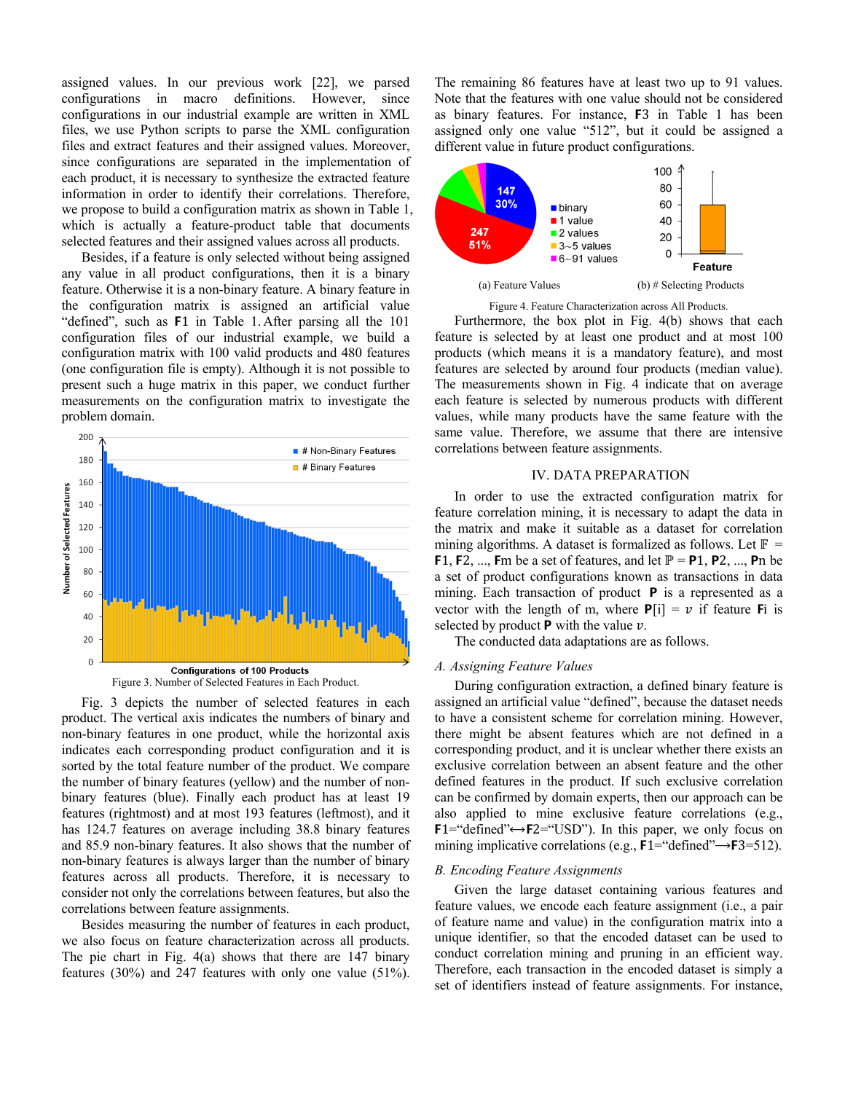assigned values. In our previous work [22], we parsed configurations in macro definitions. However, since configurations in our industrial example are written in XML files, we use Python scripts to parse the XML configuration files and extract features and their assigned values. Moreover, since configurations are separated in the implementation of each product, it is necessary to synthesize the extracted feature information in order to identify their correlations. Therefore, we propose to build a configuration matrix as shown in Table 1, which is actually a feature-product table that documents selected features and their assigned values across all products.

Besides, if a feature is only selected without being assigned any value in all product configurations, then it is a binary feature. Otherwise it is a non-binary feature. A binary feature in the configuration matrix is assigned an artificial value "defined", such as F1 in Table 1. After parsing all the 101 configuration files of our industrial example, we build a configuration matrix with 100 valid products and 480 features (one configuration file is empty). Although it is not possible to present such a huge matrix in this paper, we conduct further measurements on the configuration matrix to investigate the problem domain.





Besides measuring the number of features in each product, we also focus on feature characterization across all products. The pie chart in Fig. 4(a) shows that there are 147 binary features (30%) and 247 features with only one value (51%). The remaining 86 features have at least two up to 91 values. Note that the features with one value should not be considered as binary features. For instance, F3 in Table 1 has been assigned only one value "512", but it could be assigned a different value in future product configurations.



Figure 4. Feature Characterization across All Products.

Furthermore, the box plot in Fig. 4(b) shows that each feature is selected by at least one product and at most 100 products (which means it is a mandatory feature), and most features are selected by around four products (median value). The measurements shown in Fig. 4 indicate that on average each feature is selected by numerous products with different values, while many products have the same feature with the same value. Therefore, we assume that there are intensive correlations between feature assignments.

#### IV. DATA PREPARATION

In order to use the extracted configuration matrix for feature correlation mining, it is necessary to adapt the data in the matrix and make it suitable as a dataset for correlation mining algorithms. A dataset is formalized as follows. Let  $\mathbb{F}$  = F1, F2, ..., Fm be a set of features, and let  $\mathbb{P} = \mathsf{P1}$ , P2, ..., Pn be a set of product configurations known as transactions in data mining. Each transaction of product  $P$  is a represented as a vector with the length of m, where  $P[i] = v$  if feature Fi is selected by product **P** with the value  $\nu$ .

The conducted data adaptations are as follows.

# *A. Assigning Feature Values*

During configuration extraction, a defined binary feature is assigned an artificial value "defined", because the dataset needs to have a consistent scheme for correlation mining. However, there might be absent features which are not defined in a corresponding product, and it is unclear whether there exists an exclusive correlation between an absent feature and the other defined features in the product. If such exclusive correlation can be confirmed by domain experts, then our approach can be also applied to mine exclusive feature correlations (e.g.,  $F1 =$ "defined" $\leftrightarrow F2 =$ "USD"). In this paper, we only focus on mining implicative correlations (e.g.,  $F1 =$ "defined" $\rightarrow F3 = 512$ ).

#### *B. Encoding Feature Assignments*

Given the large dataset containing various features and feature values, we encode each feature assignment (i.e., a pair of feature name and value) in the configuration matrix into a unique identifier, so that the encoded dataset can be used to conduct correlation mining and pruning in an efficient way. Therefore, each transaction in the encoded dataset is simply a set of identifiers instead of feature assignments. For instance,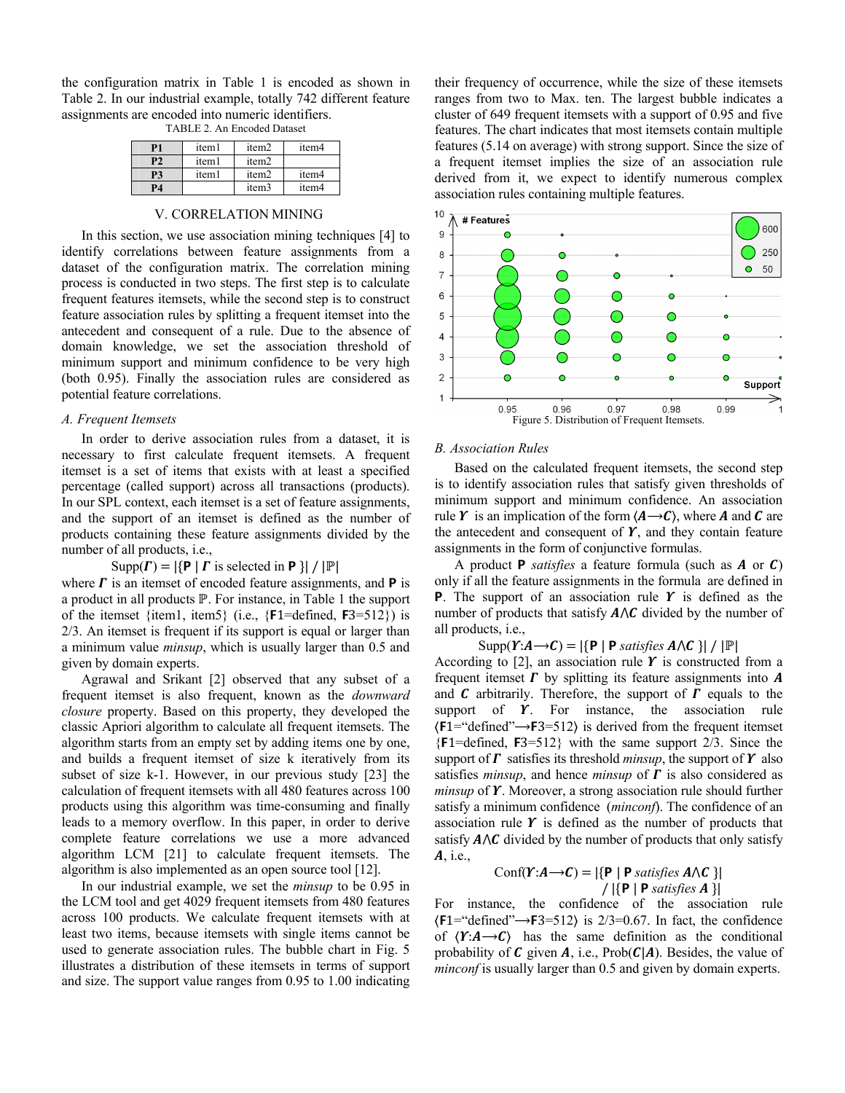the configuration matrix in Table 1 is encoded as shown in Table 2. In our industrial example, totally 742 different feature assignments are encoded into numeric identifiers.

| TABLE 2. An Encoded Dataset |  |  |
|-----------------------------|--|--|
|-----------------------------|--|--|

| P <sub>1</sub> | item1 | item <sub>2</sub> | item4             |
|----------------|-------|-------------------|-------------------|
|                |       |                   |                   |
| P2             | item1 | item <sub>2</sub> |                   |
| P3             | item1 | item <sub>2</sub> | item <sub>4</sub> |
| P4             |       | item <sub>3</sub> | item4             |
|                |       |                   |                   |

# V. CORRELATION MINING

In this section, we use association mining techniques [4] to identify correlations between feature assignments from a dataset of the configuration matrix. The correlation mining process is conducted in two steps. The first step is to calculate frequent features itemsets, while the second step is to construct feature association rules by splitting a frequent itemset into the antecedent and consequent of a rule. Due to the absence of domain knowledge, we set the association threshold of minimum support and minimum confidence to be very high (both 0.95). Finally the association rules are considered as potential feature correlations.

### *A. Frequent Itemsets*

In order to derive association rules from a dataset, it is necessary to first calculate frequent itemsets. A frequent itemset is a set of items that exists with at least a specified percentage (called support) across all transactions (products). In our SPL context, each itemset is a set of feature assignments, and the support of an itemset is defined as the number of products containing these feature assignments divided by the number of all products, i.e.,

#### $Supp(\Gamma) = |\{P | \Gamma \text{ is selected in } P \}| / |\mathbb{P}|$

where  $\Gamma$  is an itemset of encoded feature assignments, and **P** is a product in all products ℙ. For instance, in Table 1 the support of the itemset  $\{item1, item5\}$  (i.e.,  $\{F1 = defined, F3 = 512\}$ ) is 2/3. An itemset is frequent if its support is equal or larger than a minimum value *minsup*, which is usually larger than 0.5 and given by domain experts.

Agrawal and Srikant [2] observed that any subset of a frequent itemset is also frequent, known as the *downward closure* property. Based on this property, they developed the classic Apriori algorithm to calculate all frequent itemsets. The algorithm starts from an empty set by adding items one by one, and builds a frequent itemset of size k iteratively from its subset of size k-1. However, in our previous study [23] the calculation of frequent itemsets with all 480 features across 100 products using this algorithm was time-consuming and finally leads to a memory overflow. In this paper, in order to derive complete feature correlations we use a more advanced algorithm LCM [21] to calculate frequent itemsets. The algorithm is also implemented as an open source tool [12].

In our industrial example, we set the *minsup* to be 0.95 in the LCM tool and get 4029 frequent itemsets from 480 features across 100 products. We calculate frequent itemsets with at least two items, because itemsets with single items cannot be used to generate association rules. The bubble chart in Fig. 5 illustrates a distribution of these itemsets in terms of support and size. The support value ranges from 0.95 to 1.00 indicating their frequency of occurrence, while the size of these itemsets ranges from two to Max. ten. The largest bubble indicates a cluster of 649 frequent itemsets with a support of 0.95 and five features. The chart indicates that most itemsets contain multiple features (5.14 on average) with strong support. Since the size of a frequent itemset implies the size of an association rule derived from it, we expect to identify numerous complex association rules containing multiple features.



#### *B. Association Rules*

Based on the calculated frequent itemsets, the second step is to identify association rules that satisfy given thresholds of minimum support and minimum confidence. An association rule  $\boldsymbol{Y}$  is an implication of the form  $\langle \boldsymbol{A} \rightarrow \boldsymbol{C} \rangle$ , where **A** and **C** are the antecedent and consequent of  $Y$ , and they contain feature assignments in the form of conjunctive formulas.

A product **P** *satisfies* a feature formula (such as  $\bf{A}$  or  $\bf{C}$ ) only if all the feature assignments in the formula are defined in **P**. The support of an association rule  $\boldsymbol{Y}$  is defined as the number of products that satisfy  $A \wedge C$  divided by the number of all products, i.e.,

 $\text{Supp}(\boldsymbol{Y}:\boldsymbol{A}\rightarrow\boldsymbol{C})=|\{\mathbf{P} \mid \mathbf{P} \text{ satisfies } \boldsymbol{A}\wedge\boldsymbol{C}\}|/|\mathbb{P}|$ 

According to [2], an association rule  $\boldsymbol{Y}$  is constructed from a frequent itemset  $\Gamma$  by splitting its feature assignments into  $\vec{A}$ and  $C$  arbitrarily. Therefore, the support of  $\Gamma$  equals to the support of  $Y$ . For instance, the association rule  $\langle F1 = \text{``defined''} \rightarrow F3 = 512 \rangle$  is derived from the frequent itemset  ${F1=defined, F3=512}$  with the same support 2/3. Since the support of  $\Gamma$  satisfies its threshold *minsup*, the support of  $\Upsilon$  also satisfies *minsup*, and hence *minsup* of  $\Gamma$  is also considered as *minsup* of  $\Upsilon$ . Moreover, a strong association rule should further satisfy a minimum confidence (*minconf*). The confidence of an association rule  $Y$  is defined as the number of products that satisfy  $A \wedge C$  divided by the number of products that only satisfy  $A$ , i.e.,

$$
Conf(Y:A \rightarrow C) = |\{P | P \text{ satisfies } A \land C \}|
$$
  
 
$$
/ |\{P | P \text{ satisfies } A \}|
$$

For instance, the confidence of the association rule  $\langle F1 = \text{``defined''} \rightarrow F3 = 512 \rangle$  is 2/3=0.67. In fact, the confidence of  $(Y:A \rightarrow C)$  has the same definition as the conditional probability of  $C$  given  $A$ , i.e., Prob( $C|A$ ). Besides, the value of *minconf* is usually larger than 0.5 and given by domain experts.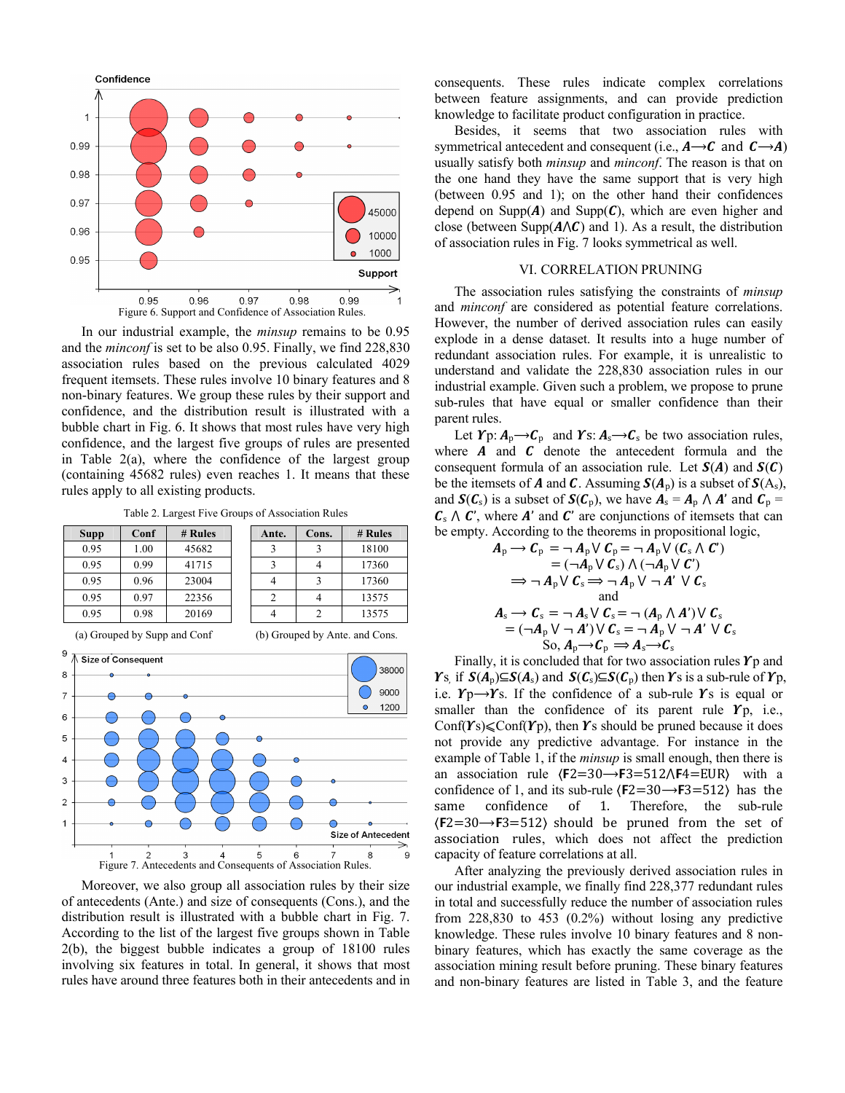

In our industrial example, the *minsup* remains to be 0.95 and the *minconf* is set to be also 0.95. Finally, we find 228,830 association rules based on the previous calculated 4029 frequent itemsets. These rules involve 10 binary features and 8 non-binary features. We group these rules by their support and confidence, and the distribution result is illustrated with a bubble chart in Fig. 6. It shows that most rules have very high confidence, and the largest five groups of rules are presented in Table 2(a), where the confidence of the largest group (containing 45682 rules) even reaches 1. It means that these rules apply to all existing products.

Table 2. Largest Five Groups of Association Rules

| <b>Supp</b> | Conf | # Rules | Ante. | Cons. | # Rules |
|-------------|------|---------|-------|-------|---------|
| 0.95        | 1.00 | 45682   |       |       | 18100   |
| 0.95        | 0.99 | 41715   |       |       | 17360   |
| 0.95        | 0.96 | 23004   |       |       | 17360   |
| 0.95        | 0.97 | 22356   |       |       | 13575   |
| 0.95        | 0.98 | 20169   |       |       | 13575   |



Moreover, we also group all association rules by their size of antecedents (Ante.) and size of consequents (Cons.), and the distribution result is illustrated with a bubble chart in Fig. 7. According to the list of the largest five groups shown in Table 2(b), the biggest bubble indicates a group of 18100 rules involving six features in total. In general, it shows that most rules have around three features both in their antecedents and in

consequents. These rules indicate complex correlations between feature assignments, and can provide prediction knowledge to facilitate product configuration in practice.

Besides, it seems that two association rules with symmetrical antecedent and consequent (i.e.,  $A \rightarrow C$  and  $C \rightarrow A$ ) usually satisfy both *minsup* and *minconf*. The reason is that on the one hand they have the same support that is very high (between 0.95 and 1); on the other hand their confidences depend on Supp( $A$ ) and Supp( $C$ ), which are even higher and close (between Supp $(A \wedge C)$  and 1). As a result, the distribution of association rules in Fig. 7 looks symmetrical as well.

# VI. CORRELATION PRUNING

The association rules satisfying the constraints of *minsup* and *minconf* are considered as potential feature correlations. However, the number of derived association rules can easily explode in a dense dataset. It results into a huge number of redundant association rules. For example, it is unrealistic to understand and validate the 228,830 association rules in our industrial example. Given such a problem, we propose to prune sub-rules that have equal or smaller confidence than their parent rules.

Let  $\Upsilon_p: A_p \rightarrow C_p$  and  $\Upsilon_s: A_s \rightarrow C_s$  be two association rules, where  $\boldsymbol{A}$  and  $\boldsymbol{C}$  denote the antecedent formula and the consequent formula of an association rule. Let  $S(A)$  and  $S(C)$ be the itemsets of **A** and **C**. Assuming  $S(A_p)$  is a subset of  $S(A_s)$ , and  $S(C_s)$  is a subset of  $S(C_p)$ , we have  $A_s = A_p \wedge A'$  and  $C_p =$  $C_s \wedge C'$ , where A' and C' are conjunctions of itemsets that can be empty. According to the theorems in propositional logic,

$$
A_{p} \rightarrow C_{p} = \neg A_{p} \lor C_{p} = \neg A_{p} \lor (C_{s} \land C')
$$
  
\n
$$
= (\neg A_{p} \lor C_{s}) \land (\neg A_{p} \lor C')
$$
  
\n
$$
\Rightarrow \neg A_{p} \lor C_{s} \Rightarrow \neg A_{p} \lor \neg A' \lor C_{s}
$$
  
\nand  
\n
$$
A_{s} \rightarrow C_{s} = \neg A_{s} \lor C_{s} = \neg (A_{p} \land A') \lor C_{s}
$$
  
\n
$$
= (\neg A_{p} \lor \neg A') \lor C_{s} = \neg A_{p} \lor \neg A' \lor C_{s}
$$
  
\nSo,  $A_{p} \rightarrow C_{p} \Rightarrow A_{s} \rightarrow C_{s}$ 

Finally, it is concluded that for two association rules  $\gamma_p$  and  $\Upsilon$ <sub>S,</sub> if  $S(A_p) \subseteq S(A_s)$  and  $S(C_s) \subseteq S(C_p)$  then  $\Upsilon$ s is a sub-rule of  $\Upsilon_p$ , i.e.  $Y_p \rightarrow Y_s$ . If the confidence of a sub-rule Ys is equal or smaller than the confidence of its parent rule  $Y_{p}$ , i.e., Conf( $\gamma$ s) < Conf( $\gamma$ p), then  $\gamma$ s should be pruned because it does not provide any predictive advantage. For instance in the example of Table 1, if the *minsup* is small enough, then there is an association rule  $(F2=30 \rightarrow F3=512 \wedge F4=EUR)$  with a confidence of 1, and its sub-rule  $(F2=30 \rightarrow F3=512)$  has the same confidence of 1. Therefore, the sub-rule  $(F2=30 \rightarrow F3=512)$  should be pruned from the set of association rules, which does not affect the prediction capacity of feature correlations at all.

After analyzing the previously derived association rules in our industrial example, we finally find 228,377 redundant rules in total and successfully reduce the number of association rules from 228,830 to 453 (0.2%) without losing any predictive knowledge. These rules involve 10 binary features and 8 nonbinary features, which has exactly the same coverage as the association mining result before pruning. These binary features and non-binary features are listed in Table 3, and the feature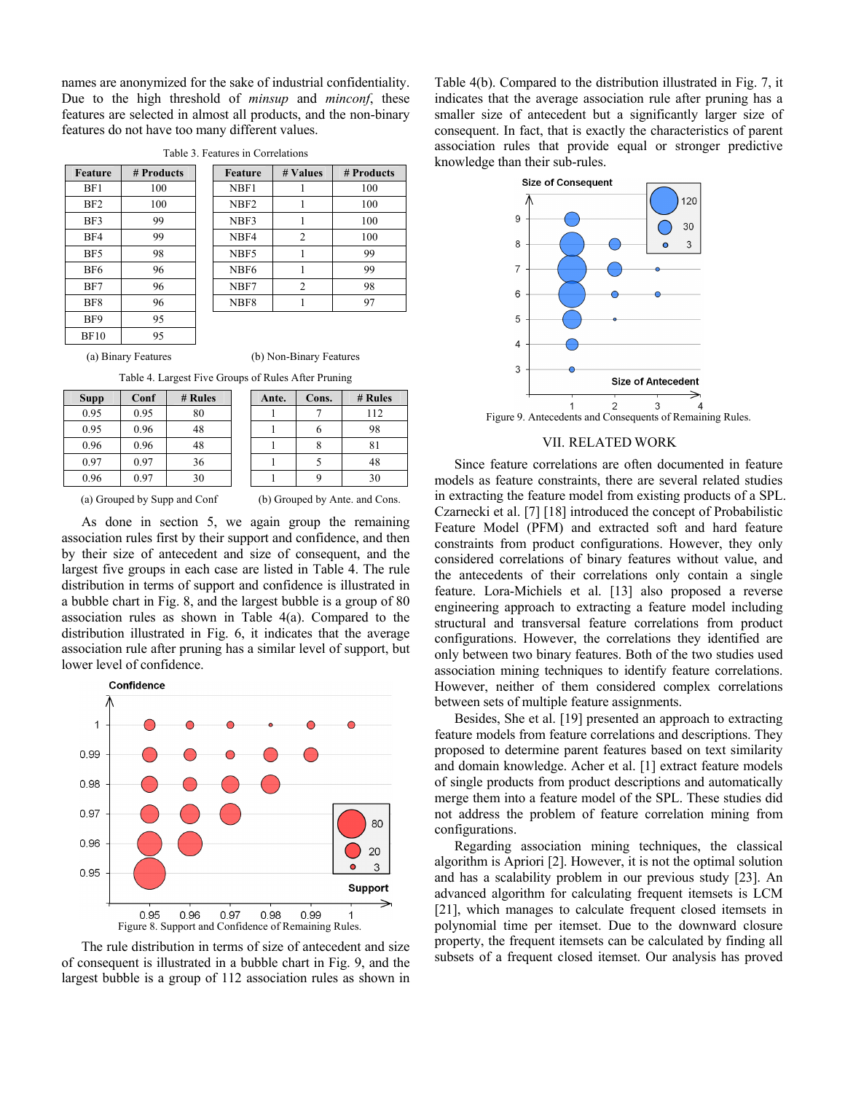names are anonymized for the sake of industrial confidentiality. Due to the high threshold of *minsup* and *minconf*, these features are selected in almost all products, and the non-binary features do not have too many different values.

| BF1<br>100<br>NBF1<br>BF2<br>100<br>NBF <sub>2</sub><br>99<br>NBF3<br>BF3<br>1<br>99<br>BF4<br>$\overline{2}$<br>NBF4<br>98<br>BF5<br>NBF5<br>BF6<br>96<br>NBF <sub>6</sub><br>1<br>96<br>NBF7<br>$\overline{2}$<br>BF7<br>96<br>NBF <sub>8</sub><br>BF8 | Feature | # Products | Feature | # Values | # Produ |
|----------------------------------------------------------------------------------------------------------------------------------------------------------------------------------------------------------------------------------------------------------|---------|------------|---------|----------|---------|
|                                                                                                                                                                                                                                                          |         |            |         |          | 100     |
|                                                                                                                                                                                                                                                          |         |            |         |          | 100     |
|                                                                                                                                                                                                                                                          |         |            |         |          | 100     |
|                                                                                                                                                                                                                                                          |         |            |         |          | 100     |
|                                                                                                                                                                                                                                                          |         |            |         |          | 99      |
|                                                                                                                                                                                                                                                          |         |            |         |          | 99      |
|                                                                                                                                                                                                                                                          |         |            |         |          | 98      |
|                                                                                                                                                                                                                                                          |         |            |         |          | 97      |
| 95<br>BF9                                                                                                                                                                                                                                                |         |            |         |          |         |
| 95<br><b>BF10</b>                                                                                                                                                                                                                                        |         |            |         |          |         |

Table 3. Features in Correlations

Feature # Values # Products

(a) Binary Features (b) Non-Binary Features

Table 4. Largest Five Groups of Rules After Pruning

| <b>Supp</b> | Conf | # Rules | Ante. | Cons. | # Rules |
|-------------|------|---------|-------|-------|---------|
| 0.95        | 0.95 | 80      |       |       | 112     |
| 0.95        | 0.96 | 48      |       |       | 98      |
| 0.96        | 0.96 | 48      |       |       | 81      |
| 0.97        | 0.97 | 36      |       |       | 48      |
| 0.96        | 0.97 | 30      |       |       | 30      |

| Ante. | Cons. | # Rules |
|-------|-------|---------|
|       |       | 112     |
|       | 6     | 98      |
|       |       | 81      |
|       | 5     | 48      |
|       | C     | 30      |
|       |       |         |

(a) Grouped by Supp and Conf (b) Grouped by Ante. and Cons.

As done in section 5, we again group the remaining association rules first by their support and confidence, and then by their size of antecedent and size of consequent, and the largest five groups in each case are listed in Table 4. The rule distribution in terms of support and confidence is illustrated in a bubble chart in Fig. 8, and the largest bubble is a group of 80 association rules as shown in Table 4(a). Compared to the distribution illustrated in Fig. 6, it indicates that the average association rule after pruning has a similar level of support, but lower level of confidence.



The rule distribution in terms of size of antecedent and size of consequent is illustrated in a bubble chart in Fig. 9, and the largest bubble is a group of 112 association rules as shown in

Table 4(b). Compared to the distribution illustrated in Fig. 7, it indicates that the average association rule after pruning has a smaller size of antecedent but a significantly larger size of consequent. In fact, that is exactly the characteristics of parent association rules that provide equal or stronger predictive knowledge than their sub-rules.



Figure 9. Antecedents and Consequents of Remaining Rules.

# VII. RELATED WORK

Since feature correlations are often documented in feature models as feature constraints, there are several related studies in extracting the feature model from existing products of a SPL. Czarnecki et al. [7] [18] introduced the concept of Probabilistic Feature Model (PFM) and extracted soft and hard feature constraints from product configurations. However, they only considered correlations of binary features without value, and the antecedents of their correlations only contain a single feature. Lora-Michiels et al. [13] also proposed a reverse engineering approach to extracting a feature model including structural and transversal feature correlations from product configurations. However, the correlations they identified are only between two binary features. Both of the two studies used association mining techniques to identify feature correlations. However, neither of them considered complex correlations between sets of multiple feature assignments.

Besides, She et al. [19] presented an approach to extracting feature models from feature correlations and descriptions. They proposed to determine parent features based on text similarity and domain knowledge. Acher et al. [1] extract feature models of single products from product descriptions and automatically merge them into a feature model of the SPL. These studies did not address the problem of feature correlation mining from configurations.

Regarding association mining techniques, the classical algorithm is Apriori [2]. However, it is not the optimal solution and has a scalability problem in our previous study [23]. An advanced algorithm for calculating frequent itemsets is LCM [21], which manages to calculate frequent closed itemsets in polynomial time per itemset. Due to the downward closure property, the frequent itemsets can be calculated by finding all subsets of a frequent closed itemset. Our analysis has proved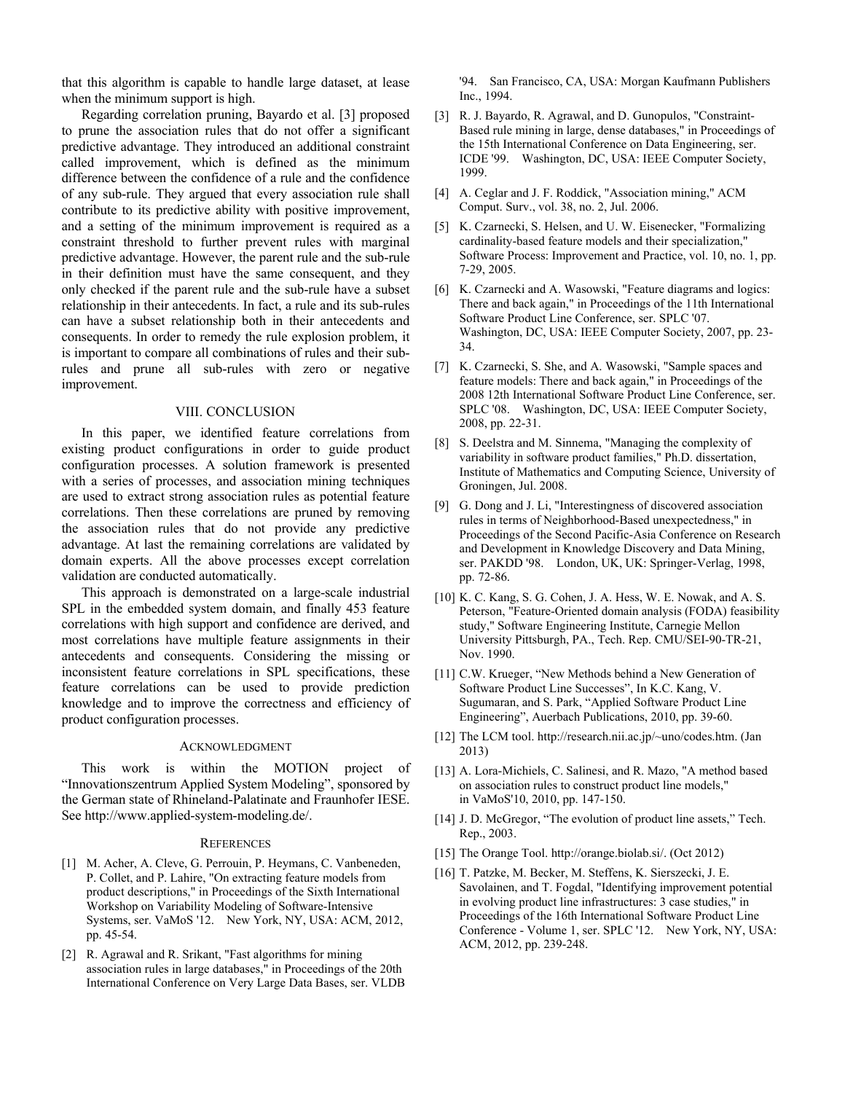that this algorithm is capable to handle large dataset, at lease when the minimum support is high.

Regarding correlation pruning, Bayardo et al. [3] proposed to prune the association rules that do not offer a significant predictive advantage. They introduced an additional constraint called improvement, which is defined as the minimum difference between the confidence of a rule and the confidence of any sub-rule. They argued that every association rule shall contribute to its predictive ability with positive improvement, and a setting of the minimum improvement is required as a constraint threshold to further prevent rules with marginal predictive advantage. However, the parent rule and the sub-rule in their definition must have the same consequent, and they only checked if the parent rule and the sub-rule have a subset relationship in their antecedents. In fact, a rule and its sub-rules can have a subset relationship both in their antecedents and consequents. In order to remedy the rule explosion problem, it is important to compare all combinations of rules and their subrules and prune all sub-rules with zero or negative improvement.

### VIII. CONCLUSION

In this paper, we identified feature correlations from existing product configurations in order to guide product configuration processes. A solution framework is presented with a series of processes, and association mining techniques are used to extract strong association rules as potential feature correlations. Then these correlations are pruned by removing the association rules that do not provide any predictive advantage. At last the remaining correlations are validated by domain experts. All the above processes except correlation validation are conducted automatically.

This approach is demonstrated on a large-scale industrial SPL in the embedded system domain, and finally 453 feature correlations with high support and confidence are derived, and most correlations have multiple feature assignments in their antecedents and consequents. Considering the missing or inconsistent feature correlations in SPL specifications, these feature correlations can be used to provide prediction knowledge and to improve the correctness and efficiency of product configuration processes.

#### ACKNOWLEDGMENT

This work is within the MOTION project of "Innovationszentrum Applied System Modeling", sponsored by the German state of Rhineland-Palatinate and Fraunhofer IESE. See http://www.applied-system-modeling.de/.

#### **REFERENCES**

- [1] M. Acher, A. Cleve, G. Perrouin, P. Heymans, C. Vanbeneden, P. Collet, and P. Lahire, "On extracting feature models from product descriptions," in Proceedings of the Sixth International Workshop on Variability Modeling of Software-Intensive Systems, ser. VaMoS '12. New York, NY, USA: ACM, 2012, pp. 45-54.
- [2] R. Agrawal and R. Srikant, "Fast algorithms for mining association rules in large databases," in Proceedings of the 20th International Conference on Very Large Data Bases, ser. VLDB

'94. San Francisco, CA, USA: Morgan Kaufmann Publishers Inc., 1994.

- [3] R. J. Bayardo, R. Agrawal, and D. Gunopulos, "Constraint-Based rule mining in large, dense databases," in Proceedings of the 15th International Conference on Data Engineering, ser. ICDE '99. Washington, DC, USA: IEEE Computer Society, 1999.
- [4] A. Ceglar and J. F. Roddick, "Association mining," ACM Comput. Surv., vol. 38, no. 2, Jul. 2006.
- [5] K. Czarnecki, S. Helsen, and U. W. Eisenecker, "Formalizing cardinality-based feature models and their specialization," Software Process: Improvement and Practice, vol. 10, no. 1, pp. 7-29, 2005.
- [6] K. Czarnecki and A. Wasowski, "Feature diagrams and logics: There and back again," in Proceedings of the 11th International Software Product Line Conference, ser. SPLC '07. Washington, DC, USA: IEEE Computer Society, 2007, pp. 23- 34.
- [7] K. Czarnecki, S. She, and A. Wasowski, "Sample spaces and feature models: There and back again," in Proceedings of the 2008 12th International Software Product Line Conference, ser. SPLC '08. Washington, DC, USA: IEEE Computer Society, 2008, pp. 22-31.
- [8] S. Deelstra and M. Sinnema, "Managing the complexity of variability in software product families," Ph.D. dissertation, Institute of Mathematics and Computing Science, University of Groningen, Jul. 2008.
- [9] G. Dong and J. Li, "Interestingness of discovered association rules in terms of Neighborhood-Based unexpectedness," in Proceedings of the Second Pacific-Asia Conference on Research and Development in Knowledge Discovery and Data Mining, ser. PAKDD '98. London, UK, UK: Springer-Verlag, 1998, pp. 72-86.
- [10] K. C. Kang, S. G. Cohen, J. A. Hess, W. E. Nowak, and A. S. Peterson, "Feature-Oriented domain analysis (FODA) feasibility study," Software Engineering Institute, Carnegie Mellon University Pittsburgh, PA., Tech. Rep. CMU/SEI-90-TR-21, Nov. 1990.
- [11] C.W. Krueger, "New Methods behind a New Generation of Software Product Line Successes", In K.C. Kang, V. Sugumaran, and S. Park, "Applied Software Product Line Engineering", Auerbach Publications, 2010, pp. 39-60.
- [12] The LCM tool. http://research.nii.ac.jp/~uno/codes.htm. (Jan 2013)
- [13] A. Lora-Michiels, C. Salinesi, and R. Mazo, "A method based on association rules to construct product line models," in VaMoS'10, 2010, pp. 147-150.
- [14] J. D. McGregor, "The evolution of product line assets," Tech. Rep., 2003.
- [15] The Orange Tool. http://orange.biolab.si/. (Oct 2012)
- [16] T. Patzke, M. Becker, M. Steffens, K. Sierszecki, J. E. Savolainen, and T. Fogdal, "Identifying improvement potential in evolving product line infrastructures: 3 case studies," in Proceedings of the 16th International Software Product Line Conference - Volume 1, ser. SPLC '12. New York, NY, USA: ACM, 2012, pp. 239-248.